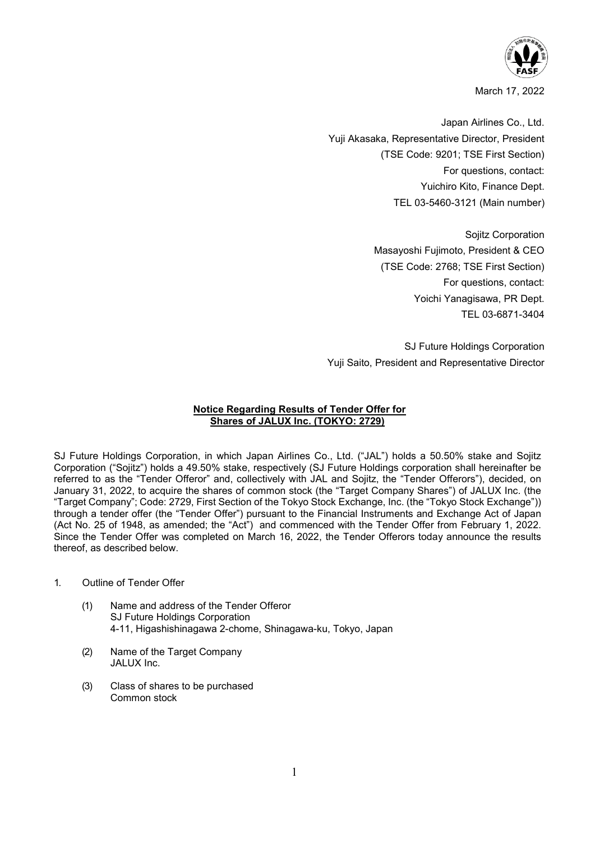

March 17, 2022

Japan Airlines Co., Ltd. Yuji Akasaka, Representative Director, President (TSE Code: 9201; TSE First Section) For questions, contact: Yuichiro Kito, Finance Dept. TEL 03-5460-3121 (Main number)

> Sojitz Corporation Masayoshi Fujimoto, President & CEO (TSE Code: 2768; TSE First Section) For questions, contact: Yoichi Yanagisawa, PR Dept. TEL 03-6871-3404

SJ Future Holdings Corporation Yuji Saito, President and Representative Director

## **Notice Regarding Results of Tender Offer for Shares of JALUX Inc. (TOKYO: 2729)**

SJ Future Holdings Corporation, in which Japan Airlines Co., Ltd. ("JAL") holds a 50.50% stake and Sojitz Corporation ("Sojitz") holds a 49.50% stake, respectively (SJ Future Holdings corporation shall hereinafter be referred to as the "Tender Offeror" and, collectively with JAL and Sojitz, the "Tender Offerors"), decided, on January 31, 2022, to acquire the shares of common stock (the "Target Company Shares") of JALUX Inc. (the "Target Company"; Code: 2729, First Section of the Tokyo Stock Exchange, Inc. (the "Tokyo Stock Exchange")) through a tender offer (the "Tender Offer") pursuant to the Financial Instruments and Exchange Act of Japan (Act No. 25 of 1948, as amended; the "Act") and commenced with the Tender Offer from February 1, 2022. Since the Tender Offer was completed on March 16, 2022, the Tender Offerors today announce the results thereof, as described below.

- 1. Outline of Tender Offer
	- (1) Name and address of the Tender Offeror SJ Future Holdings Corporation 4-11, Higashishinagawa 2-chome, Shinagawa-ku, Tokyo, Japan
	- (2) Name of the Target Company JALUX Inc.
	- (3) Class of shares to be purchased Common stock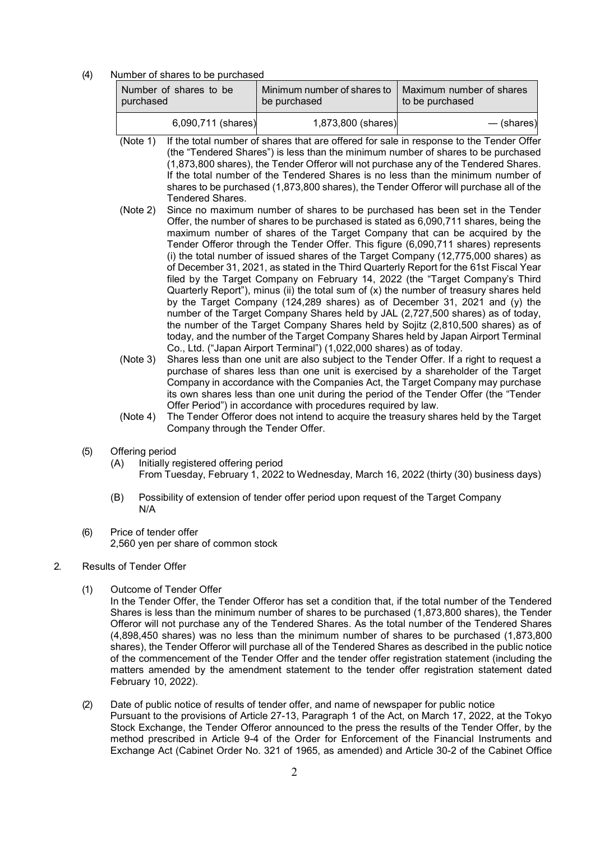(4) Number of shares to be purchased

| Number of shares to be | Minimum number of shares to | Maximum number of shares |
|------------------------|-----------------------------|--------------------------|
| purchased              | be purchased                | to be purchased          |
| 6,090,711 (shares)     | 1,873,800 (shares)          | — (shares)               |

- (Note 1) If the total number of shares that are offered for sale in response to the Tender Offer (the "Tendered Shares") is less than the minimum number of shares to be purchased (1,873,800 shares), the Tender Offeror will not purchase any of the Tendered Shares. If the total number of the Tendered Shares is no less than the minimum number of shares to be purchased (1,873,800 shares), the Tender Offeror will purchase all of the Tendered Shares.
- (Note 2) Since no maximum number of shares to be purchased has been set in the Tender Offer, the number of shares to be purchased is stated as 6,090,711 shares, being the maximum number of shares of the Target Company that can be acquired by the Tender Offeror through the Tender Offer. This figure (6,090,711 shares) represents (i) the total number of issued shares of the Target Company (12,775,000 shares) as of December 31, 2021, as stated in the Third Quarterly Report for the 61st Fiscal Year filed by the Target Company on February 14, 2022 (the "Target Company's Third Quarterly Report"), minus (ii) the total sum of  $(x)$  the number of treasury shares held by the Target Company (124,289 shares) as of December 31, 2021 and (y) the number of the Target Company Shares held by JAL (2,727,500 shares) as of today, the number of the Target Company Shares held by Sojitz (2,810,500 shares) as of today, and the number of the Target Company Shares held by Japan Airport Terminal Co., Ltd. ("Japan Airport Terminal") (1,022,000 shares) as of today.
- (Note 3) Shares less than one unit are also subject to the Tender Offer. If a right to request a purchase of shares less than one unit is exercised by a shareholder of the Target Company in accordance with the Companies Act, the Target Company may purchase its own shares less than one unit during the period of the Tender Offer (the "Tender Offer Period") in accordance with procedures required by law.
- (Note 4) The Tender Offeror does not intend to acquire the treasury shares held by the Target Company through the Tender Offer.
- (5) Offering period
	- (A) Initially registered offering period From Tuesday, February 1, 2022 to Wednesday, March 16, 2022 (thirty (30) business days)
	- (B) Possibility of extension of tender offer period upon request of the Target Company N/A
- (6) Price of tender offer 2,560 yen per share of common stock
- 2. Results of Tender Offer
	- (1) Outcome of Tender Offer
		- In the Tender Offer, the Tender Offeror has set a condition that, if the total number of the Tendered Shares is less than the minimum number of shares to be purchased (1,873,800 shares), the Tender Offeror will not purchase any of the Tendered Shares. As the total number of the Tendered Shares (4,898,450 shares) was no less than the minimum number of shares to be purchased (1,873,800 shares), the Tender Offeror will purchase all of the Tendered Shares as described in the public notice of the commencement of the Tender Offer and the tender offer registration statement (including the matters amended by the amendment statement to the tender offer registration statement dated February 10, 2022).
	- (2) Date of public notice of results of tender offer, and name of newspaper for public notice Pursuant to the provisions of Article 27-13, Paragraph 1 of the Act, on March 17, 2022, at the Tokyo Stock Exchange, the Tender Offeror announced to the press the results of the Tender Offer, by the method prescribed in Article 9-4 of the Order for Enforcement of the Financial Instruments and Exchange Act (Cabinet Order No. 321 of 1965, as amended) and Article 30-2 of the Cabinet Office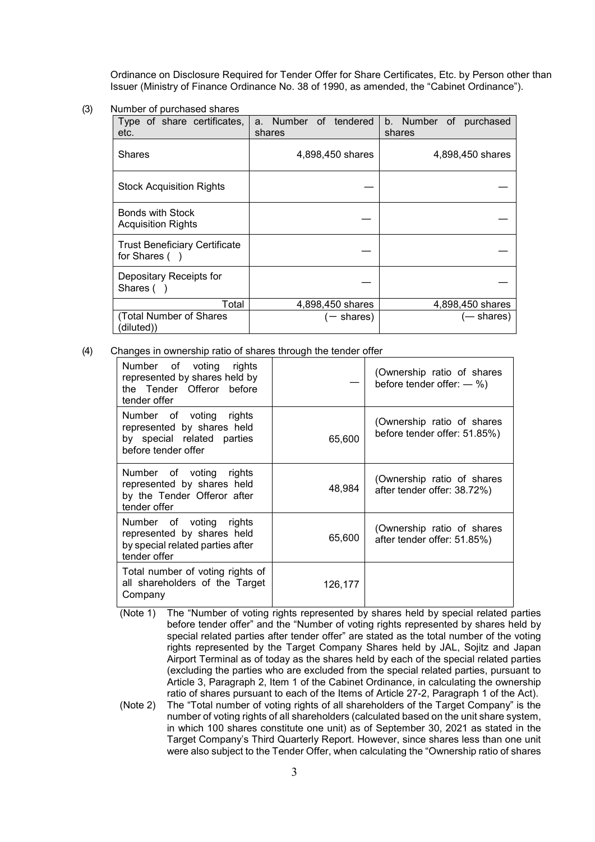Ordinance on Disclosure Required for Tender Offer for Share Certificates, Etc. by Person other than Issuer (Ministry of Finance Ordinance No. 38 of 1990, as amended, the "Cabinet Ordinance").

(3) Number of purchased shares

| Type of share certificates,<br>etc.                  | a. Number of tendered<br>shares | b. Number<br>of purchased<br>shares |
|------------------------------------------------------|---------------------------------|-------------------------------------|
| <b>Shares</b>                                        | 4,898,450 shares                | 4,898,450 shares                    |
| <b>Stock Acquisition Rights</b>                      |                                 |                                     |
| <b>Bonds with Stock</b><br><b>Acquisition Rights</b> |                                 |                                     |
| <b>Trust Beneficiary Certificate</b><br>for Shares ( |                                 |                                     |
| Depositary Receipts for<br>Shares (                  |                                 |                                     |
| Total                                                | 4,898,450 shares                | 4,898,450 shares                    |
| (Total Number of Shares<br>(diluted))                | — shares)                       | (— shares)                          |

(4) Changes in ownership ratio of shares through the tender offer

| Number of voting rights<br>represented by shares held by<br>the Tender Offeror before<br>tender offer      |         | (Ownership ratio of shares<br>before tender offer: $-$ %)  |
|------------------------------------------------------------------------------------------------------------|---------|------------------------------------------------------------|
| Number of voting rights<br>represented by shares held<br>by special related parties<br>before tender offer | 65,600  | (Ownership ratio of shares<br>before tender offer: 51.85%) |
| Number of voting rights<br>represented by shares held<br>by the Tender Offeror after<br>tender offer       | 48,984  | (Ownership ratio of shares<br>after tender offer: 38.72%)  |
| Number of voting rights<br>represented by shares held<br>by special related parties after<br>tender offer  | 65,600  | (Ownership ratio of shares<br>after tender offer: 51.85%)  |
| Total number of voting rights of<br>all shareholders of the Target<br>Company                              | 126,177 |                                                            |

(Note 1) The "Number of voting rights represented by shares held by special related parties before tender offer" and the "Number of voting rights represented by shares held by special related parties after tender offer" are stated as the total number of the voting rights represented by the Target Company Shares held by JAL, Sojitz and Japan Airport Terminal as of today as the shares held by each of the special related parties (excluding the parties who are excluded from the special related parties, pursuant to Article 3, Paragraph 2, Item 1 of the Cabinet Ordinance, in calculating the ownership ratio of shares pursuant to each of the Items of Article 27-2, Paragraph 1 of the Act).

(Note 2) The "Total number of voting rights of all shareholders of the Target Company" is the number of voting rights of all shareholders (calculated based on the unit share system, in which 100 shares constitute one unit) as of September 30, 2021 as stated in the Target Company's Third Quarterly Report. However, since shares less than one unit were also subject to the Tender Offer, when calculating the "Ownership ratio of shares